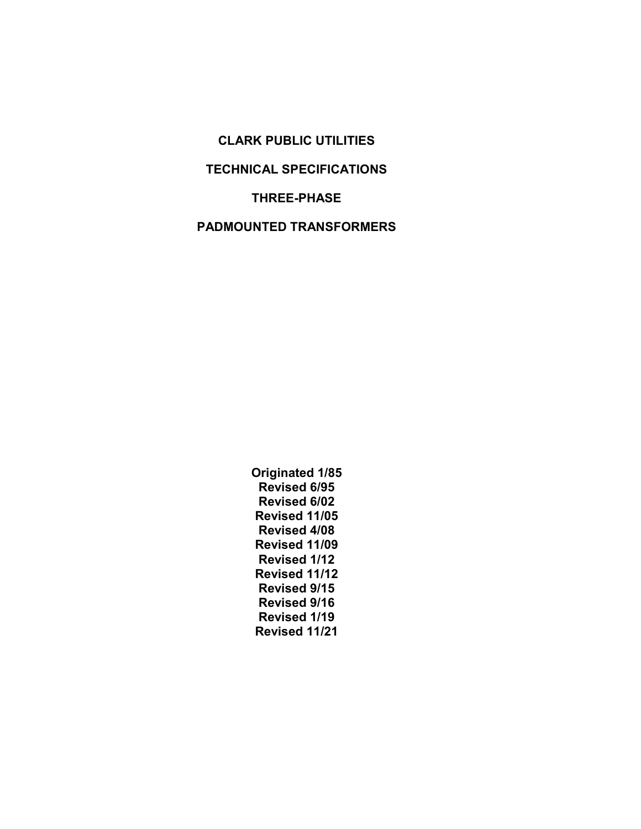CLARK PUBLIC UTILITIES TECHNICAL SPECIFICATIONS THREE-PHASE PADMOUNTED TRANSFORMERS

> Originated 1/85 Revised 6/95 Revised 6/02 Revised 11/05 Revised 4/08 Revised 11/09 Revised 1/12 Revised 11/12 Revised 9/15 Revised 9/16 Revised 1/19 Revised 11/21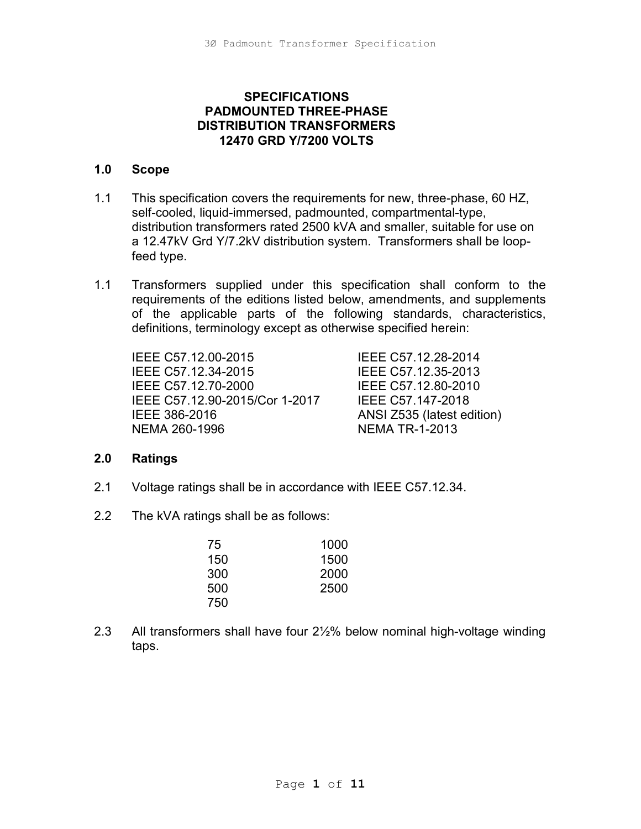## **SPECIFICATIONS** PADMOUNTED THREE-PHASE DISTRIBUTION TRANSFORMERS 12470 GRD Y/7200 VOLTS

#### 1.0 Scope

- 1.1 This specification covers the requirements for new, three-phase, 60 HZ, self-cooled, liquid-immersed, padmounted, compartmental-type, distribution transformers rated 2500 kVA and smaller, suitable for use on a 12.47kV Grd Y/7.2kV distribution system. Transformers shall be loop feed type.
- 1.1 Transformers supplied under this specification shall conform to the requirements of the editions listed below, amendments, and supplements of the applicable parts of the following standards, characteristics, definitions, terminology except as otherwise specified herein:

 IEEE C57.12.00-2015 IEEE C57.12.28-2014 IEEE C57.12.34-2015 IEEE C57.12.35-2013 IEEE C57.12.70-2000 IEEE C57.12.80-2010 IEEE C57.12.90-2015/Cor 1-2017 IEEE C57.147-2018 IEEE 386-2016 ANSI Z535 (latest edition) NEMA 260-1996 NEMA TR-1-2013

#### 2.0 Ratings

- 2.1 Voltage ratings shall be in accordance with IEEE C57.12.34.
- 2.2 The kVA ratings shall be as follows:

| 75  | 1000 |
|-----|------|
| 150 | 1500 |
| 300 | 2000 |
| 500 | 2500 |
| 750 |      |

2.3 All transformers shall have four 2½% below nominal high-voltage winding taps.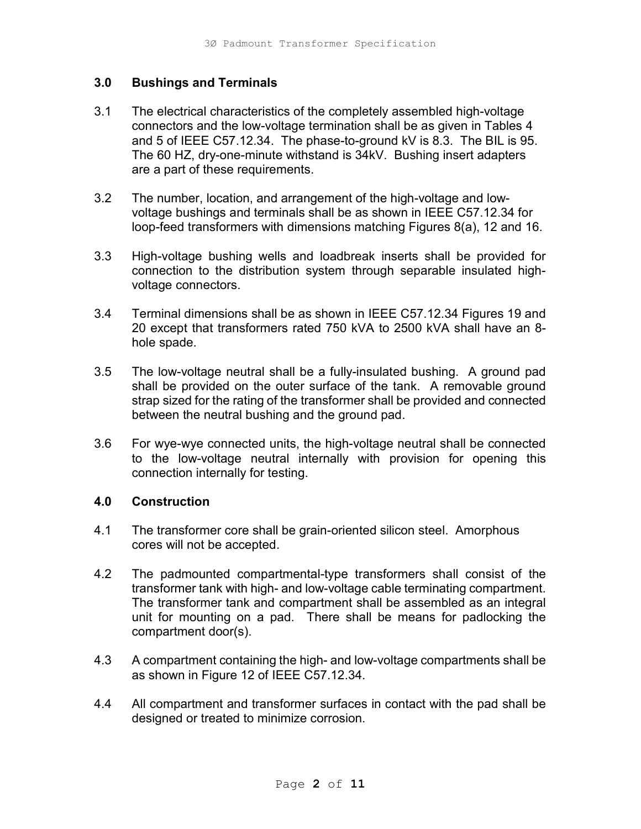#### 3.0 Bushings and Terminals

- 3.1 The electrical characteristics of the completely assembled high-voltage connectors and the low-voltage termination shall be as given in Tables 4 and 5 of IEEE C57.12.34. The phase-to-ground kV is 8.3. The BIL is 95. The 60 HZ, dry-one-minute withstand is 34kV. Bushing insert adapters are a part of these requirements.
- 3.2 The number, location, and arrangement of the high-voltage and lowvoltage bushings and terminals shall be as shown in IEEE C57.12.34 for loop-feed transformers with dimensions matching Figures 8(a), 12 and 16.
- 3.3 High-voltage bushing wells and loadbreak inserts shall be provided for connection to the distribution system through separable insulated highvoltage connectors.
- 3.4 Terminal dimensions shall be as shown in IEEE C57.12.34 Figures 19 and 20 except that transformers rated 750 kVA to 2500 kVA shall have an 8 hole spade.
- 3.5 The low-voltage neutral shall be a fully-insulated bushing. A ground pad shall be provided on the outer surface of the tank. A removable ground strap sized for the rating of the transformer shall be provided and connected between the neutral bushing and the ground pad.
- 3.6 For wye-wye connected units, the high-voltage neutral shall be connected to the low-voltage neutral internally with provision for opening this connection internally for testing.

#### 4.0 Construction

- 4.1 The transformer core shall be grain-oriented silicon steel. Amorphous cores will not be accepted.
- 4.2 The padmounted compartmental-type transformers shall consist of the transformer tank with high- and low-voltage cable terminating compartment. The transformer tank and compartment shall be assembled as an integral unit for mounting on a pad. There shall be means for padlocking the compartment door(s).
- 4.3 A compartment containing the high- and low-voltage compartments shall be as shown in Figure 12 of IEEE C57.12.34.
- 4.4 All compartment and transformer surfaces in contact with the pad shall be designed or treated to minimize corrosion.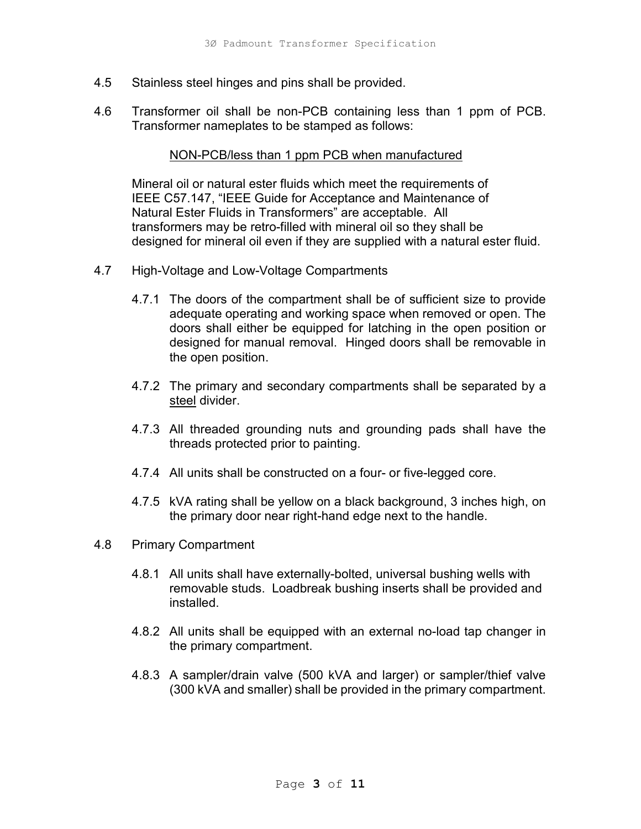- 4.5 Stainless steel hinges and pins shall be provided.
- 4.6 Transformer oil shall be non-PCB containing less than 1 ppm of PCB. Transformer nameplates to be stamped as follows:

#### NON-PCB/less than 1 ppm PCB when manufactured

Mineral oil or natural ester fluids which meet the requirements of IEEE C57.147, "IEEE Guide for Acceptance and Maintenance of Natural Ester Fluids in Transformers" are acceptable. All transformers may be retro-filled with mineral oil so they shall be designed for mineral oil even if they are supplied with a natural ester fluid.

- 4.7 High-Voltage and Low-Voltage Compartments
	- 4.7.1 The doors of the compartment shall be of sufficient size to provide adequate operating and working space when removed or open. The doors shall either be equipped for latching in the open position or designed for manual removal. Hinged doors shall be removable in the open position.
	- 4.7.2 The primary and secondary compartments shall be separated by a steel divider.
	- 4.7.3 All threaded grounding nuts and grounding pads shall have the threads protected prior to painting.
	- 4.7.4 All units shall be constructed on a four- or five-legged core.
	- 4.7.5 kVA rating shall be yellow on a black background, 3 inches high, on the primary door near right-hand edge next to the handle.
- 4.8 Primary Compartment
	- 4.8.1 All units shall have externally-bolted, universal bushing wells with removable studs. Loadbreak bushing inserts shall be provided and installed.
	- 4.8.2 All units shall be equipped with an external no-load tap changer in the primary compartment.
	- 4.8.3 A sampler/drain valve (500 kVA and larger) or sampler/thief valve (300 kVA and smaller) shall be provided in the primary compartment.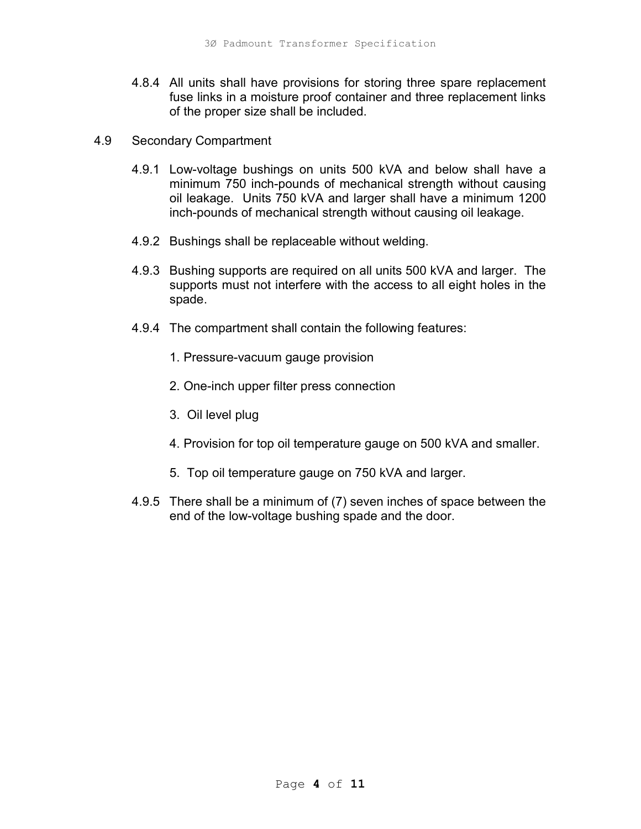- 4.8.4 All units shall have provisions for storing three spare replacement fuse links in a moisture proof container and three replacement links of the proper size shall be included.
- 4.9 Secondary Compartment
	- 4.9.1 Low-voltage bushings on units 500 kVA and below shall have a minimum 750 inch-pounds of mechanical strength without causing oil leakage. Units 750 kVA and larger shall have a minimum 1200 inch-pounds of mechanical strength without causing oil leakage.
	- 4.9.2 Bushings shall be replaceable without welding.
	- 4.9.3 Bushing supports are required on all units 500 kVA and larger. The supports must not interfere with the access to all eight holes in the spade.
	- 4.9.4 The compartment shall contain the following features:
		- 1. Pressure-vacuum gauge provision
		- 2. One-inch upper filter press connection
		- 3. Oil level plug
		- 4. Provision for top oil temperature gauge on 500 kVA and smaller.
		- 5. Top oil temperature gauge on 750 kVA and larger.
	- 4.9.5 There shall be a minimum of (7) seven inches of space between the end of the low-voltage bushing spade and the door.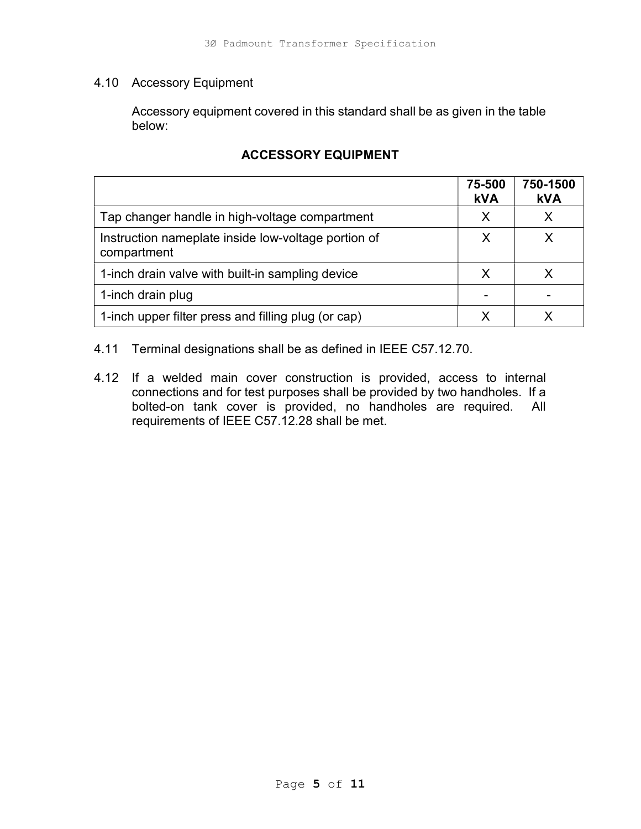## 4.10 Accessory Equipment

 Accessory equipment covered in this standard shall be as given in the table below:

|                                                                    | 75-500<br><b>kVA</b> | 750-1500<br><b>kVA</b> |
|--------------------------------------------------------------------|----------------------|------------------------|
| Tap changer handle in high-voltage compartment                     | X                    |                        |
| Instruction nameplate inside low-voltage portion of<br>compartment | X                    |                        |
| 1-inch drain valve with built-in sampling device                   | X                    |                        |
| 1-inch drain plug                                                  |                      |                        |
| 1-inch upper filter press and filling plug (or cap)                |                      |                        |

# ACCESSORY EQUIPMENT

4.11 Terminal designations shall be as defined in IEEE C57.12.70.

4.12 If a welded main cover construction is provided, access to internal connections and for test purposes shall be provided by two handholes. If a bolted-on tank cover is provided, no handholes are required. All requirements of IEEE C57.12.28 shall be met.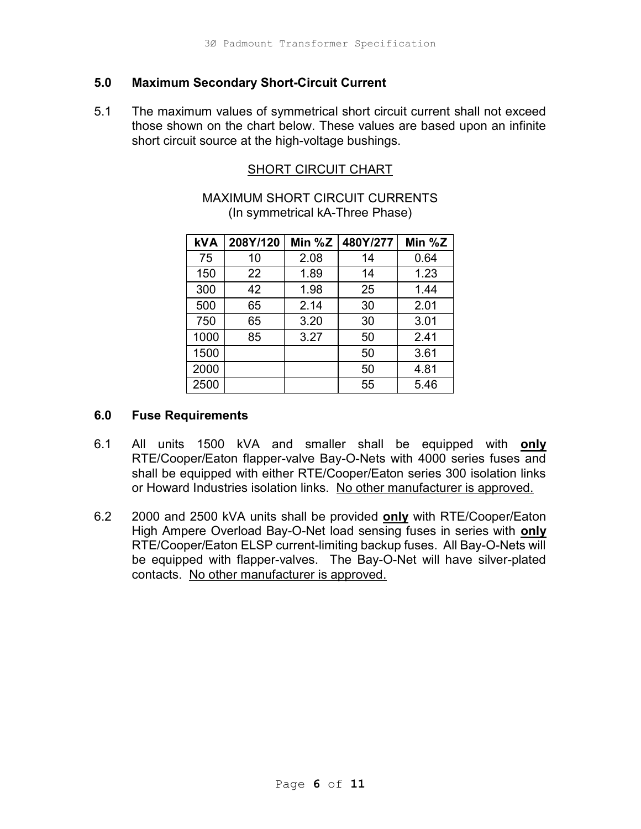#### 5.0 Maximum Secondary Short-Circuit Current

5.1 The maximum values of symmetrical short circuit current shall not exceed those shown on the chart below. These values are based upon an infinite short circuit source at the high-voltage bushings.

## SHORT CIRCUIT CHART

## MAXIMUM SHORT CIRCUIT CURRENTS (In symmetrical kA-Three Phase)

|                  | 3Ø Padmount Transformer Specification    |              |                                 |              |                                                                                                                                    |  |
|------------------|------------------------------------------|--------------|---------------------------------|--------------|------------------------------------------------------------------------------------------------------------------------------------|--|
|                  |                                          |              |                                 |              |                                                                                                                                    |  |
|                  | n Secondary Short-Circuit Current        |              |                                 |              |                                                                                                                                    |  |
|                  |                                          |              |                                 |              | mum values of symmetrical short circuit current shall not exceed<br>wn on the chart below. These values are based upon an infinite |  |
|                  | uit source at the high-voltage bushings. |              |                                 |              |                                                                                                                                    |  |
|                  |                                          |              |                                 |              |                                                                                                                                    |  |
|                  |                                          |              | <b>SHORT CIRCUIT CHART</b>      |              |                                                                                                                                    |  |
|                  | <b>MAXIMUM SHORT CIRCUIT CURRENTS</b>    |              |                                 |              |                                                                                                                                    |  |
|                  |                                          |              | (In symmetrical kA-Three Phase) |              |                                                                                                                                    |  |
|                  |                                          |              |                                 |              |                                                                                                                                    |  |
|                  |                                          |              |                                 |              |                                                                                                                                    |  |
| <b>kVA</b>       | 208Y/120                                 | Min % $Z$    | 480Y/277                        | Min $%Z$     |                                                                                                                                    |  |
| 75               | 10                                       | 2.08         | 14                              | 0.64         |                                                                                                                                    |  |
| 150              | 22                                       | 1.89         | 14                              | 1.23         |                                                                                                                                    |  |
| 300<br>500       | 42<br>65                                 | 1.98<br>2.14 | 25<br>30                        | 1.44<br>2.01 |                                                                                                                                    |  |
| 750              | 65                                       | 3.20         | 30                              | 3.01         |                                                                                                                                    |  |
| 1000             | 85                                       | 3.27         | 50                              | 2.41         |                                                                                                                                    |  |
| 1500             |                                          |              | 50                              | 3.61         |                                                                                                                                    |  |
| 2000             |                                          |              | 50                              | 4.81         |                                                                                                                                    |  |
| 2500             |                                          |              | 55                              | 5.46         |                                                                                                                                    |  |
| <b>uirements</b> |                                          |              |                                 |              |                                                                                                                                    |  |

#### 6.0 Fuse Requirements

- 6.1 All units 1500 kVA and smaller shall be equipped with only RTE/Cooper/Eaton flapper-valve Bay-O-Nets with 4000 series fuses and shall be equipped with either RTE/Cooper/Eaton series 300 isolation links or Howard Industries isolation links. No other manufacturer is approved.
- 6.2 2000 and 2500 kVA units shall be provided only with RTE/Cooper/Eaton High Ampere Overload Bay-O-Net load sensing fuses in series with only RTE/Cooper/Eaton ELSP current-limiting backup fuses. All Bay-O-Nets will be equipped with flapper-valves. The Bay-O-Net will have silver-plated contacts. No other manufacturer is approved.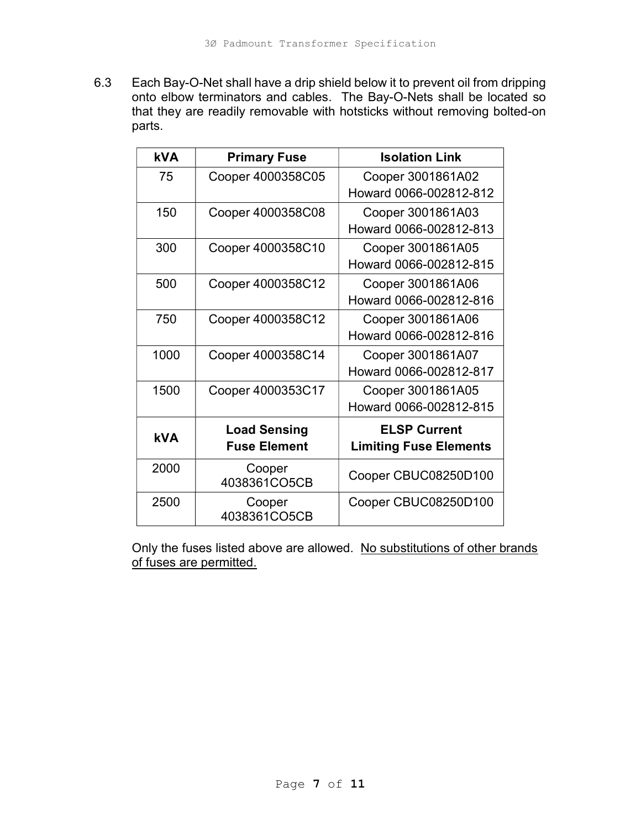6.3 Each Bay-O-Net shall have a drip shield below it to prevent oil from dripping onto elbow terminators and cables. The Bay-O-Nets shall be located so that they are readily removable with hotsticks without removing bolted-on parts.

| <b>kVA</b> | <b>Primary Fuse</b>    | <b>Isolation Link</b>         |
|------------|------------------------|-------------------------------|
| 75         | Cooper 4000358C05      | Cooper 3001861A02             |
|            |                        | Howard 0066-002812-812        |
| 150        | Cooper 4000358C08      | Cooper 3001861A03             |
|            |                        | Howard 0066-002812-813        |
| 300        | Cooper 4000358C10      | Cooper 3001861A05             |
|            |                        | Howard 0066-002812-815        |
| 500        | Cooper 4000358C12      | Cooper 3001861A06             |
|            |                        | Howard 0066-002812-816        |
| 750        | Cooper 4000358C12      | Cooper 3001861A06             |
|            |                        | Howard 0066-002812-816        |
| 1000       | Cooper 4000358C14      | Cooper 3001861A07             |
|            |                        | Howard 0066-002812-817        |
| 1500       | Cooper 4000353C17      | Cooper 3001861A05             |
|            |                        | Howard 0066-002812-815        |
|            | <b>Load Sensing</b>    | <b>ELSP Current</b>           |
| <b>kVA</b> | <b>Fuse Element</b>    | <b>Limiting Fuse Elements</b> |
| 2000       | Cooper<br>4038361CO5CB | Cooper CBUC08250D100          |
| 2500       | Cooper<br>4038361CO5CB | Cooper CBUC08250D100          |

Only the fuses listed above are allowed. No substitutions of other brands of fuses are permitted.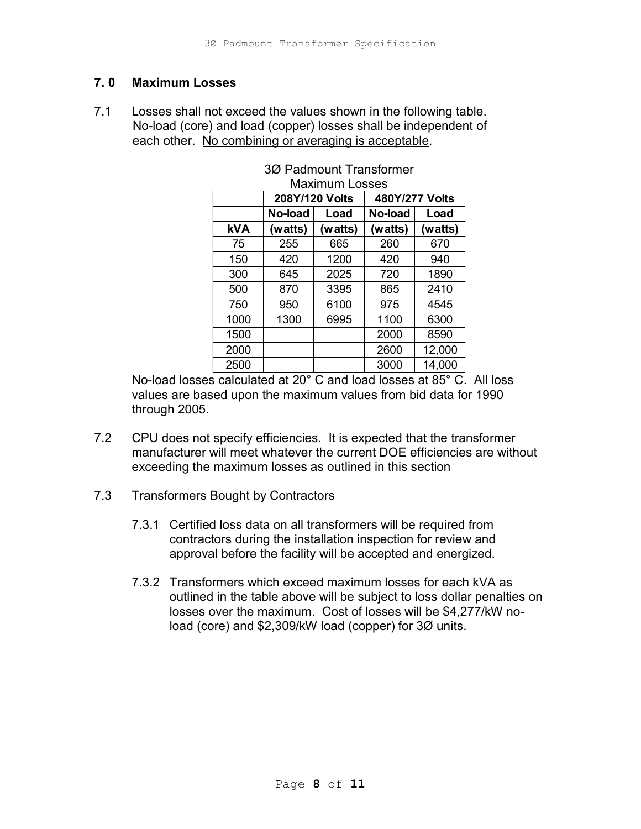### 7. 0 Maximum Losses

7.1 Losses shall not exceed the values shown in the following table. No-load (core) and load (copper) losses shall be independent of each other. No combining or averaging is acceptable.

| <b>ises</b><br>ot exceed the values shown in the following table. | D Padmount Transformer Specification                                                     |                       |                         |         |
|-------------------------------------------------------------------|------------------------------------------------------------------------------------------|-----------------------|-------------------------|---------|
|                                                                   |                                                                                          |                       |                         |         |
|                                                                   |                                                                                          |                       |                         |         |
|                                                                   |                                                                                          |                       |                         |         |
|                                                                   |                                                                                          |                       |                         |         |
|                                                                   |                                                                                          |                       |                         |         |
|                                                                   | and load (copper) losses shall be independent of                                         |                       |                         |         |
|                                                                   | o combining or averaging is acceptable.                                                  |                       |                         |         |
|                                                                   |                                                                                          |                       | 3Ø Padmount Transformer |         |
|                                                                   |                                                                                          | <b>Maximum Losses</b> |                         |         |
|                                                                   |                                                                                          | 208Y/120 Volts        | 480Y/277 Volts          |         |
|                                                                   | No-load                                                                                  | Load                  | No-load                 | Load    |
| <b>kVA</b>                                                        | (watts)                                                                                  | (watts)               | (watts)                 | (watts) |
|                                                                   |                                                                                          |                       | 260                     | 670     |
| 75                                                                | 255                                                                                      | 665                   |                         |         |
| 150                                                               | 420                                                                                      | 1200                  | 420                     | 940     |
| 300                                                               | 645                                                                                      | 2025                  | 720                     | 1890    |
| 500                                                               | 870                                                                                      | 3395                  | 865                     | 2410    |
| 750                                                               | 950                                                                                      | 6100                  | 975                     | 4545    |
| 1000                                                              | 1300                                                                                     | 6995                  | 1100                    | 6300    |
| 1500                                                              |                                                                                          |                       | 2000                    | 8590    |
| 2000                                                              |                                                                                          |                       | 2600                    | 12,000  |
| 2500                                                              | $\frac{1}{2}$ calculated at 20 $^{\circ}$ C and load losses at 85 $^{\circ}$ C. All loss |                       | 3000                    | 14,000  |

# 3Ø Padmount Transformer

 No-load losses calculated at 20° C and load losses at 85° C. All loss values are based upon the maximum values from bid data for 1990 through 2005.

- 7.2 CPU does not specify efficiencies. It is expected that the transformer manufacturer will meet whatever the current DOE efficiencies are without exceeding the maximum losses as outlined in this section
- 7.3 Transformers Bought by Contractors
	- 7.3.1 Certified loss data on all transformers will be required from contractors during the installation inspection for review and approval before the facility will be accepted and energized.
	- 7.3.2 Transformers which exceed maximum losses for each kVA as outlined in the table above will be subject to loss dollar penalties on losses over the maximum. Cost of losses will be \$4,277/kW no load (core) and \$2,309/kW load (copper) for 3Ø units.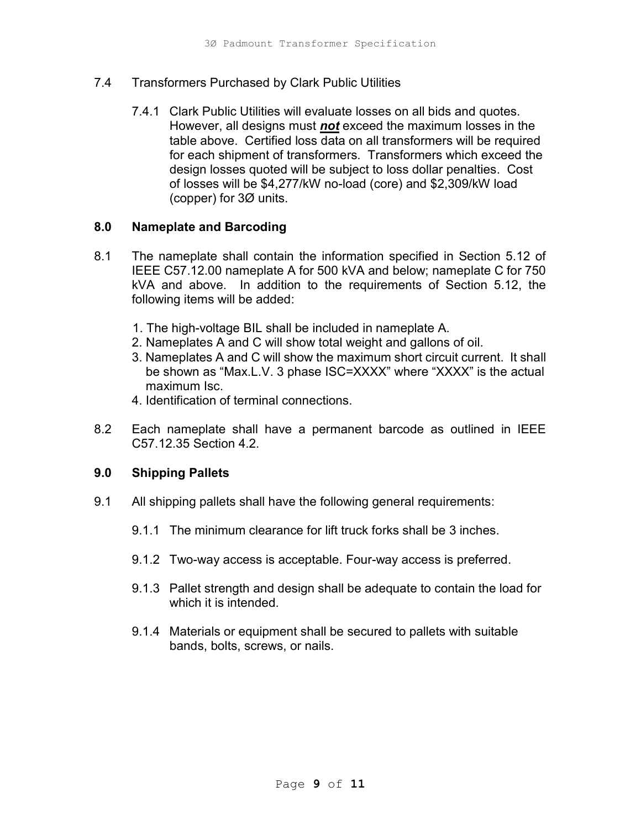#### 7.4 Transformers Purchased by Clark Public Utilities

 7.4.1 Clark Public Utilities will evaluate losses on all bids and quotes. However, all designs must **not** exceed the maximum losses in the table above. Certified loss data on all transformers will be required for each shipment of transformers. Transformers which exceed the design losses quoted will be subject to loss dollar penalties. Cost of losses will be \$4,277/kW no-load (core) and \$2,309/kW load (copper) for 3Ø units.

#### 8.0 Nameplate and Barcoding

- 8.1 The nameplate shall contain the information specified in Section 5.12 of IEEE C57.12.00 nameplate A for 500 kVA and below; nameplate C for 750 kVA and above. In addition to the requirements of Section 5.12, the following items will be added:
	- 1. The high-voltage BIL shall be included in nameplate A.
	- 2. Nameplates A and C will show total weight and gallons of oil.
	- 3. Nameplates A and C will show the maximum short circuit current. It shall be shown as "Max.L.V. 3 phase ISC=XXXX" where "XXXX" is the actual maximum Isc.
	- 4. Identification of terminal connections.
- 8.2 Each nameplate shall have a permanent barcode as outlined in IEEE C57.12.35 Section 4.2.

#### 9.0 Shipping Pallets

- 9.1 All shipping pallets shall have the following general requirements:
	- 9.1.1 The minimum clearance for lift truck forks shall be 3 inches.
	- 9.1.2 Two-way access is acceptable. Four-way access is preferred.
	- 9.1.3 Pallet strength and design shall be adequate to contain the load for which it is intended.
	- 9.1.4 Materials or equipment shall be secured to pallets with suitable bands, bolts, screws, or nails.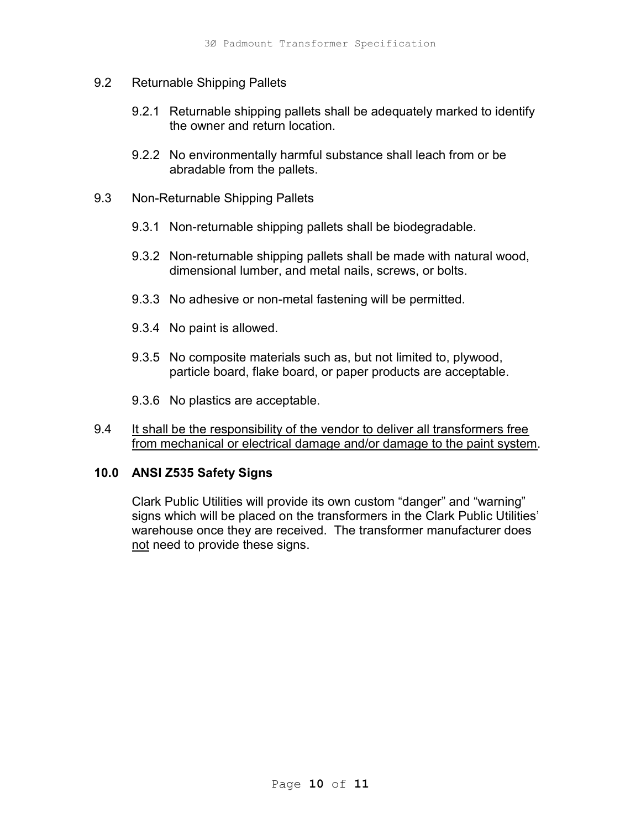- 9.2 Returnable Shipping Pallets
	- 9.2.1 Returnable shipping pallets shall be adequately marked to identify the owner and return location.
	- 9.2.2 No environmentally harmful substance shall leach from or be abradable from the pallets.
- 9.3 Non-Returnable Shipping Pallets
	- 9.3.1 Non-returnable shipping pallets shall be biodegradable.
	- 9.3.2 Non-returnable shipping pallets shall be made with natural wood, dimensional lumber, and metal nails, screws, or bolts.
	- 9.3.3 No adhesive or non-metal fastening will be permitted.
	- 9.3.4 No paint is allowed.
	- 9.3.5 No composite materials such as, but not limited to, plywood, particle board, flake board, or paper products are acceptable.
	- 9.3.6 No plastics are acceptable.
- 9.4 It shall be the responsibility of the vendor to deliver all transformers free from mechanical or electrical damage and/or damage to the paint system.

#### 10.0 ANSI Z535 Safety Signs

Clark Public Utilities will provide its own custom "danger" and "warning" signs which will be placed on the transformers in the Clark Public Utilities' warehouse once they are received. The transformer manufacturer does not need to provide these signs.